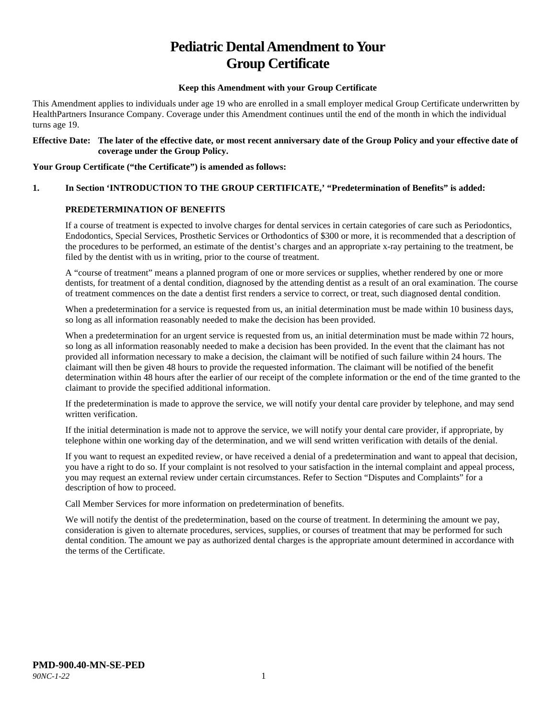# **Pediatric Dental Amendment to Your Group Certificate**

#### **Keep this Amendment with your Group Certificate**

This Amendment applies to individuals under age 19 who are enrolled in a small employer medical Group Certificate underwritten by HealthPartners Insurance Company. Coverage under this Amendment continues until the end of the month in which the individual turns age 19.

#### **Effective Date: The later of the effective date, or most recent anniversary date of the Group Policy and your effective date of coverage under the Group Policy.**

#### **Your Group Certificate ("the Certificate") is amended as follows:**

## **1. In Section 'INTRODUCTION TO THE GROUP CERTIFICATE,' "Predetermination of Benefits" is added:**

#### **PREDETERMINATION OF BENEFITS**

If a course of treatment is expected to involve charges for dental services in certain categories of care such as Periodontics, Endodontics, Special Services, Prosthetic Services or Orthodontics of \$300 or more, it is recommended that a description of the procedures to be performed, an estimate of the dentist's charges and an appropriate x-ray pertaining to the treatment, be filed by the dentist with us in writing, prior to the course of treatment.

A "course of treatment" means a planned program of one or more services or supplies, whether rendered by one or more dentists, for treatment of a dental condition, diagnosed by the attending dentist as a result of an oral examination. The course of treatment commences on the date a dentist first renders a service to correct, or treat, such diagnosed dental condition.

When a predetermination for a service is requested from us, an initial determination must be made within 10 business days, so long as all information reasonably needed to make the decision has been provided.

When a predetermination for an urgent service is requested from us, an initial determination must be made within 72 hours, so long as all information reasonably needed to make a decision has been provided. In the event that the claimant has not provided all information necessary to make a decision, the claimant will be notified of such failure within 24 hours. The claimant will then be given 48 hours to provide the requested information. The claimant will be notified of the benefit determination within 48 hours after the earlier of our receipt of the complete information or the end of the time granted to the claimant to provide the specified additional information.

If the predetermination is made to approve the service, we will notify your dental care provider by telephone, and may send written verification.

If the initial determination is made not to approve the service, we will notify your dental care provider, if appropriate, by telephone within one working day of the determination, and we will send written verification with details of the denial.

If you want to request an expedited review, or have received a denial of a predetermination and want to appeal that decision, you have a right to do so. If your complaint is not resolved to your satisfaction in the internal complaint and appeal process, you may request an external review under certain circumstances. Refer to Section "Disputes and Complaints" for a description of how to proceed.

Call Member Services for more information on predetermination of benefits.

We will notify the dentist of the predetermination, based on the course of treatment. In determining the amount we pay, consideration is given to alternate procedures, services, supplies, or courses of treatment that may be performed for such dental condition. The amount we pay as authorized dental charges is the appropriate amount determined in accordance with the terms of the Certificate.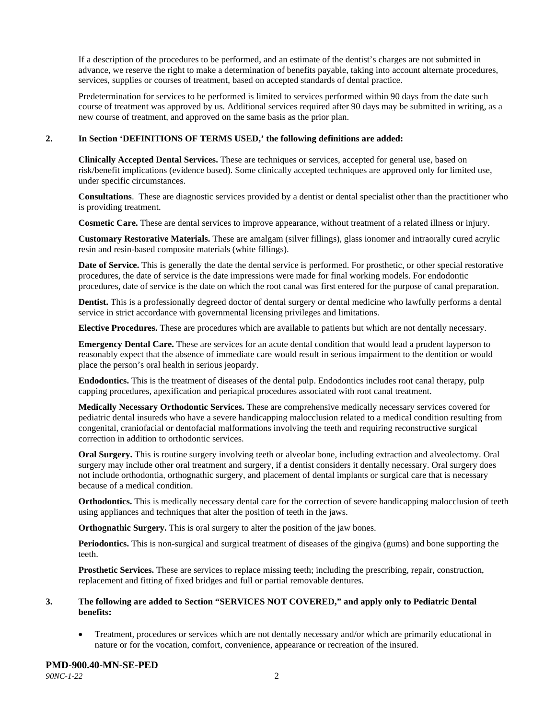If a description of the procedures to be performed, and an estimate of the dentist's charges are not submitted in advance, we reserve the right to make a determination of benefits payable, taking into account alternate procedures, services, supplies or courses of treatment, based on accepted standards of dental practice.

Predetermination for services to be performed is limited to services performed within 90 days from the date such course of treatment was approved by us. Additional services required after 90 days may be submitted in writing, as a new course of treatment, and approved on the same basis as the prior plan.

#### **2. In Section 'DEFINITIONS OF TERMS USED,' the following definitions are added:**

**Clinically Accepted Dental Services.** These are techniques or services, accepted for general use, based on risk/benefit implications (evidence based). Some clinically accepted techniques are approved only for limited use, under specific circumstances.

**Consultations**. These are diagnostic services provided by a dentist or dental specialist other than the practitioner who is providing treatment.

**Cosmetic Care.** These are dental services to improve appearance, without treatment of a related illness or injury.

**Customary Restorative Materials.** These are amalgam (silver fillings), glass ionomer and intraorally cured acrylic resin and resin-based composite materials (white fillings).

**Date of Service.** This is generally the date the dental service is performed. For prosthetic, or other special restorative procedures, the date of service is the date impressions were made for final working models. For endodontic procedures, date of service is the date on which the root canal was first entered for the purpose of canal preparation.

**Dentist.** This is a professionally degreed doctor of dental surgery or dental medicine who lawfully performs a dental service in strict accordance with governmental licensing privileges and limitations.

**Elective Procedures.** These are procedures which are available to patients but which are not dentally necessary.

**Emergency Dental Care.** These are services for an acute dental condition that would lead a prudent layperson to reasonably expect that the absence of immediate care would result in serious impairment to the dentition or would place the person's oral health in serious jeopardy.

**Endodontics.** This is the treatment of diseases of the dental pulp. Endodontics includes root canal therapy, pulp capping procedures, apexification and periapical procedures associated with root canal treatment.

**Medically Necessary Orthodontic Services.** These are comprehensive medically necessary services covered for pediatric dental insureds who have a severe handicapping malocclusion related to a medical condition resulting from congenital, craniofacial or dentofacial malformations involving the teeth and requiring reconstructive surgical correction in addition to orthodontic services.

**Oral Surgery.** This is routine surgery involving teeth or alveolar bone, including extraction and alveolectomy. Oral surgery may include other oral treatment and surgery, if a dentist considers it dentally necessary. Oral surgery does not include orthodontia, orthognathic surgery, and placement of dental implants or surgical care that is necessary because of a medical condition.

**Orthodontics.** This is medically necessary dental care for the correction of severe handicapping malocclusion of teeth using appliances and techniques that alter the position of teeth in the jaws.

**Orthognathic Surgery.** This is oral surgery to alter the position of the jaw bones.

**Periodontics.** This is non-surgical and surgical treatment of diseases of the gingiva (gums) and bone supporting the teeth.

**Prosthetic Services.** These are services to replace missing teeth; including the prescribing, repair, construction, replacement and fitting of fixed bridges and full or partial removable dentures.

#### **3. The following are added to Section "SERVICES NOT COVERED," and apply only to Pediatric Dental benefits:**

• Treatment, procedures or services which are not dentally necessary and/or which are primarily educational in nature or for the vocation, comfort, convenience, appearance or recreation of the insured.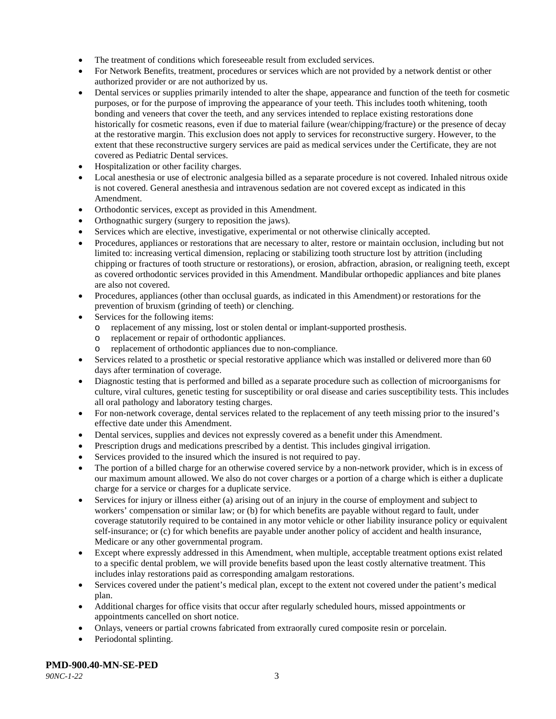- The treatment of conditions which foreseeable result from excluded services.
- For Network Benefits, treatment, procedures or services which are not provided by a network dentist or other authorized provider or are not authorized by us.
- Dental services or supplies primarily intended to alter the shape, appearance and function of the teeth for cosmetic purposes, or for the purpose of improving the appearance of your teeth. This includes tooth whitening, tooth bonding and veneers that cover the teeth, and any services intended to replace existing restorations done historically for cosmetic reasons, even if due to material failure (wear/chipping/fracture) or the presence of decay at the restorative margin. This exclusion does not apply to services for reconstructive surgery. However, to the extent that these reconstructive surgery services are paid as medical services under the Certificate, they are not covered as Pediatric Dental services.
- Hospitalization or other facility charges.
- Local anesthesia or use of electronic analgesia billed as a separate procedure is not covered. Inhaled nitrous oxide is not covered. General anesthesia and intravenous sedation are not covered except as indicated in this Amendment.
- Orthodontic services, except as provided in this Amendment.
- Orthognathic surgery (surgery to reposition the jaws).
- Services which are elective, investigative, experimental or not otherwise clinically accepted.
- Procedures, appliances or restorations that are necessary to alter, restore or maintain occlusion, including but not limited to: increasing vertical dimension, replacing or stabilizing tooth structure lost by attrition (including chipping or fractures of tooth structure or restorations), or erosion, abfraction, abrasion, or realigning teeth, except as covered orthodontic services provided in this Amendment. Mandibular orthopedic appliances and bite planes are also not covered.
- Procedures, appliances (other than occlusal guards, as indicated in this Amendment) or restorations for the prevention of bruxism (grinding of teeth) or clenching.
- Services for the following items:
	- o replacement of any missing, lost or stolen dental or implant-supported prosthesis.
	- o replacement or repair of orthodontic appliances.
	- replacement of orthodontic appliances due to non-compliance.
- Services related to a prosthetic or special restorative appliance which was installed or delivered more than 60 days after termination of coverage.
- Diagnostic testing that is performed and billed as a separate procedure such as collection of microorganisms for culture, viral cultures, genetic testing for susceptibility or oral disease and caries susceptibility tests. This includes all oral pathology and laboratory testing charges.
- For non-network coverage, dental services related to the replacement of any teeth missing prior to the insured's effective date under this Amendment.
- Dental services, supplies and devices not expressly covered as a benefit under this Amendment.
- Prescription drugs and medications prescribed by a dentist. This includes gingival irrigation.
- Services provided to the insured which the insured is not required to pay.
- The portion of a billed charge for an otherwise covered service by a non-network provider, which is in excess of our maximum amount allowed. We also do not cover charges or a portion of a charge which is either a duplicate charge for a service or charges for a duplicate service.
- Services for injury or illness either (a) arising out of an injury in the course of employment and subject to workers' compensation or similar law; or (b) for which benefits are payable without regard to fault, under coverage statutorily required to be contained in any motor vehicle or other liability insurance policy or equivalent self-insurance; or (c) for which benefits are payable under another policy of accident and health insurance, Medicare or any other governmental program.
- Except where expressly addressed in this Amendment, when multiple, acceptable treatment options exist related to a specific dental problem, we will provide benefits based upon the least costly alternative treatment. This includes inlay restorations paid as corresponding amalgam restorations.
- Services covered under the patient's medical plan, except to the extent not covered under the patient's medical plan.
- Additional charges for office visits that occur after regularly scheduled hours, missed appointments or appointments cancelled on short notice.
- Onlays, veneers or partial crowns fabricated from extraorally cured composite resin or porcelain.
- Periodontal splinting.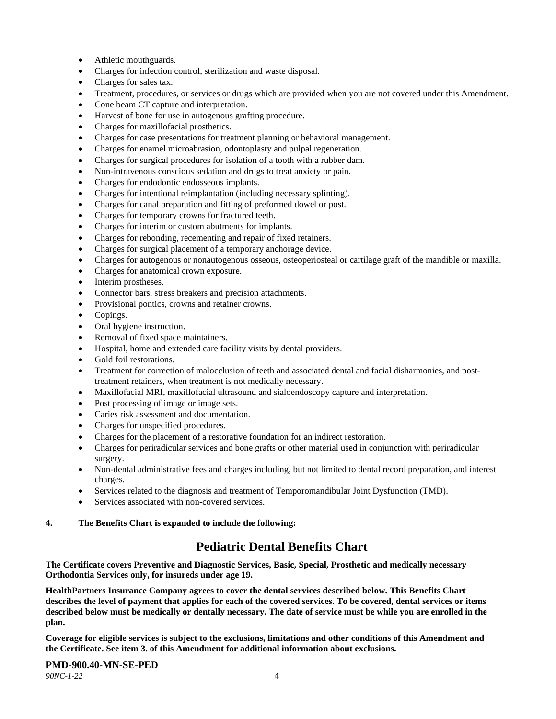- Athletic mouthguards.
- Charges for infection control, sterilization and waste disposal.
- Charges for sales tax.
- Treatment, procedures, or services or drugs which are provided when you are not covered under this Amendment.
- Cone beam CT capture and interpretation.
- Harvest of bone for use in autogenous grafting procedure.
- Charges for maxillofacial prosthetics.
- Charges for case presentations for treatment planning or behavioral management.
- Charges for enamel microabrasion, odontoplasty and pulpal regeneration.
- Charges for surgical procedures for isolation of a tooth with a rubber dam.
- Non-intravenous conscious sedation and drugs to treat anxiety or pain.
- Charges for endodontic endosseous implants.
- Charges for intentional reimplantation (including necessary splinting).
- Charges for canal preparation and fitting of preformed dowel or post.
- Charges for temporary crowns for fractured teeth.
- Charges for interim or custom abutments for implants.
- Charges for rebonding, recementing and repair of fixed retainers.
- Charges for surgical placement of a temporary anchorage device.
- Charges for autogenous or nonautogenous osseous, osteoperiosteal or cartilage graft of the mandible or maxilla.
- Charges for anatomical crown exposure.
- Interim prostheses.
- Connector bars, stress breakers and precision attachments.
- Provisional pontics, crowns and retainer crowns.
- Copings.
- Oral hygiene instruction.
- Removal of fixed space maintainers.
- Hospital, home and extended care facility visits by dental providers.
- Gold foil restorations.
- Treatment for correction of malocclusion of teeth and associated dental and facial disharmonies, and posttreatment retainers, when treatment is not medically necessary.
- Maxillofacial MRI, maxillofacial ultrasound and sialoendoscopy capture and interpretation.
- Post processing of image or image sets.
- Caries risk assessment and documentation.
- Charges for unspecified procedures.
- Charges for the placement of a restorative foundation for an indirect restoration.
- Charges for periradicular services and bone grafts or other material used in conjunction with periradicular surgery.
- Non-dental administrative fees and charges including, but not limited to dental record preparation, and interest charges.
- Services related to the diagnosis and treatment of Temporomandibular Joint Dysfunction (TMD).
- Services associated with non-covered services.

#### **4. The Benefits Chart is expanded to include the following:**

## **Pediatric Dental Benefits Chart**

**The Certificate covers Preventive and Diagnostic Services, Basic, Special, Prosthetic and medically necessary Orthodontia Services only, for insureds under age 19.**

**HealthPartners Insurance Company agrees to cover the dental services described below. This Benefits Chart describes the level of payment that applies for each of the covered services. To be covered, dental services or items described below must be medically or dentally necessary. The date of service must be while you are enrolled in the plan.**

**Coverage for eligible services is subject to the exclusions, limitations and other conditions of this Amendment and the Certificate. See item 3. of this Amendment for additional information about exclusions.**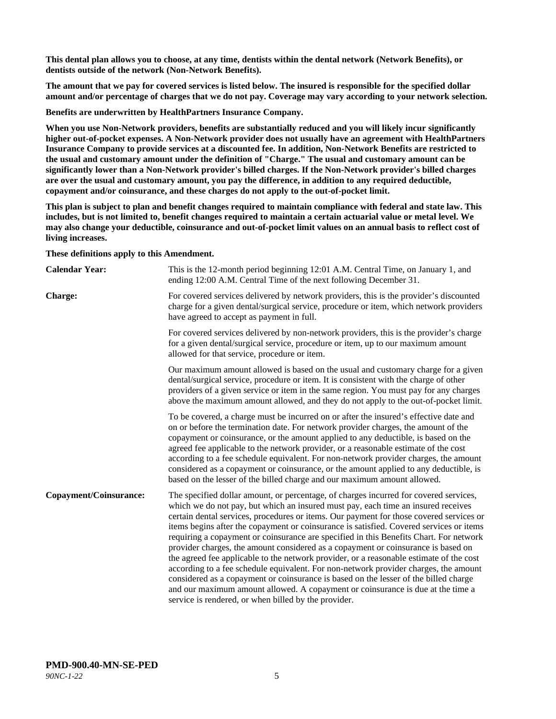**This dental plan allows you to choose, at any time, dentists within the dental network (Network Benefits), or dentists outside of the network (Non-Network Benefits).**

**The amount that we pay for covered services is listed below. The insured is responsible for the specified dollar amount and/or percentage of charges that we do not pay. Coverage may vary according to your network selection.**

**Benefits are underwritten by HealthPartners Insurance Company.**

**When you use Non-Network providers, benefits are substantially reduced and you will likely incur significantly higher out-of-pocket expenses. A Non-Network provider does not usually have an agreement with HealthPartners Insurance Company to provide services at a discounted fee. In addition, Non-Network Benefits are restricted to the usual and customary amount under the definition of "Charge." The usual and customary amount can be significantly lower than a Non-Network provider's billed charges. If the Non-Network provider's billed charges are over the usual and customary amount, you pay the difference, in addition to any required deductible, copayment and/or coinsurance, and these charges do not apply to the out-of-pocket limit.**

**This plan is subject to plan and benefit changes required to maintain compliance with federal and state law. This includes, but is not limited to, benefit changes required to maintain a certain actuarial value or metal level. We may also change your deductible, coinsurance and out-of-pocket limit values on an annual basis to reflect cost of living increases.**

**These definitions apply to this Amendment.**

| <b>Calendar Year:</b>  | This is the 12-month period beginning 12:01 A.M. Central Time, on January 1, and<br>ending 12:00 A.M. Central Time of the next following December 31.                                                                                                                                                                                                                                                                                                                                                                                                                                                                                                                                                                                                                                                                                                                                                                                                                 |
|------------------------|-----------------------------------------------------------------------------------------------------------------------------------------------------------------------------------------------------------------------------------------------------------------------------------------------------------------------------------------------------------------------------------------------------------------------------------------------------------------------------------------------------------------------------------------------------------------------------------------------------------------------------------------------------------------------------------------------------------------------------------------------------------------------------------------------------------------------------------------------------------------------------------------------------------------------------------------------------------------------|
| <b>Charge:</b>         | For covered services delivered by network providers, this is the provider's discounted<br>charge for a given dental/surgical service, procedure or item, which network providers<br>have agreed to accept as payment in full.                                                                                                                                                                                                                                                                                                                                                                                                                                                                                                                                                                                                                                                                                                                                         |
|                        | For covered services delivered by non-network providers, this is the provider's charge<br>for a given dental/surgical service, procedure or item, up to our maximum amount<br>allowed for that service, procedure or item.                                                                                                                                                                                                                                                                                                                                                                                                                                                                                                                                                                                                                                                                                                                                            |
|                        | Our maximum amount allowed is based on the usual and customary charge for a given<br>dental/surgical service, procedure or item. It is consistent with the charge of other<br>providers of a given service or item in the same region. You must pay for any charges<br>above the maximum amount allowed, and they do not apply to the out-of-pocket limit.                                                                                                                                                                                                                                                                                                                                                                                                                                                                                                                                                                                                            |
|                        | To be covered, a charge must be incurred on or after the insured's effective date and<br>on or before the termination date. For network provider charges, the amount of the<br>copayment or coinsurance, or the amount applied to any deductible, is based on the<br>agreed fee applicable to the network provider, or a reasonable estimate of the cost<br>according to a fee schedule equivalent. For non-network provider charges, the amount<br>considered as a copayment or coinsurance, or the amount applied to any deductible, is<br>based on the lesser of the billed charge and our maximum amount allowed.                                                                                                                                                                                                                                                                                                                                                 |
| Copayment/Coinsurance: | The specified dollar amount, or percentage, of charges incurred for covered services,<br>which we do not pay, but which an insured must pay, each time an insured receives<br>certain dental services, procedures or items. Our payment for those covered services or<br>items begins after the copayment or coinsurance is satisfied. Covered services or items<br>requiring a copayment or coinsurance are specified in this Benefits Chart. For network<br>provider charges, the amount considered as a copayment or coinsurance is based on<br>the agreed fee applicable to the network provider, or a reasonable estimate of the cost<br>according to a fee schedule equivalent. For non-network provider charges, the amount<br>considered as a copayment or coinsurance is based on the lesser of the billed charge<br>and our maximum amount allowed. A copayment or coinsurance is due at the time a<br>service is rendered, or when billed by the provider. |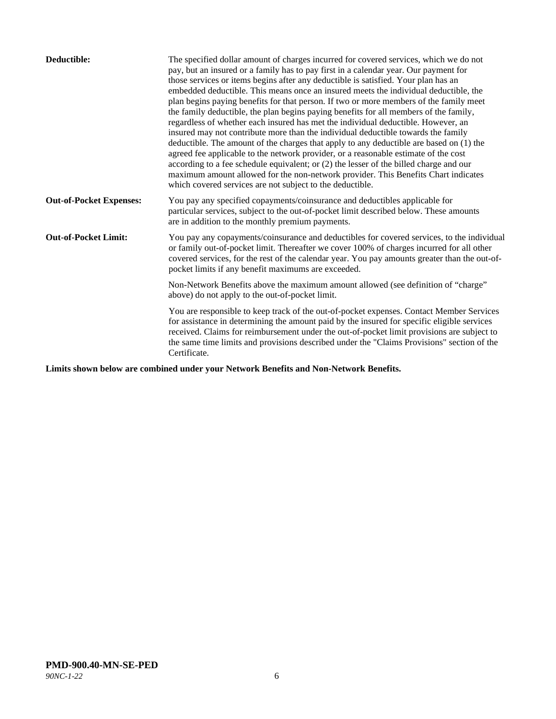| Deductible:                    | The specified dollar amount of charges incurred for covered services, which we do not<br>pay, but an insured or a family has to pay first in a calendar year. Our payment for<br>those services or items begins after any deductible is satisfied. Your plan has an<br>embedded deductible. This means once an insured meets the individual deductible, the<br>plan begins paying benefits for that person. If two or more members of the family meet<br>the family deductible, the plan begins paying benefits for all members of the family,<br>regardless of whether each insured has met the individual deductible. However, an<br>insured may not contribute more than the individual deductible towards the family<br>deductible. The amount of the charges that apply to any deductible are based on (1) the<br>agreed fee applicable to the network provider, or a reasonable estimate of the cost<br>according to a fee schedule equivalent; or (2) the lesser of the billed charge and our<br>maximum amount allowed for the non-network provider. This Benefits Chart indicates<br>which covered services are not subject to the deductible. |
|--------------------------------|---------------------------------------------------------------------------------------------------------------------------------------------------------------------------------------------------------------------------------------------------------------------------------------------------------------------------------------------------------------------------------------------------------------------------------------------------------------------------------------------------------------------------------------------------------------------------------------------------------------------------------------------------------------------------------------------------------------------------------------------------------------------------------------------------------------------------------------------------------------------------------------------------------------------------------------------------------------------------------------------------------------------------------------------------------------------------------------------------------------------------------------------------------|
| <b>Out-of-Pocket Expenses:</b> | You pay any specified copayments/coinsurance and deductibles applicable for<br>particular services, subject to the out-of-pocket limit described below. These amounts<br>are in addition to the monthly premium payments.                                                                                                                                                                                                                                                                                                                                                                                                                                                                                                                                                                                                                                                                                                                                                                                                                                                                                                                               |
| <b>Out-of-Pocket Limit:</b>    | You pay any copayments/coinsurance and deductibles for covered services, to the individual<br>or family out-of-pocket limit. Thereafter we cover 100% of charges incurred for all other<br>covered services, for the rest of the calendar year. You pay amounts greater than the out-of-<br>pocket limits if any benefit maximums are exceeded.                                                                                                                                                                                                                                                                                                                                                                                                                                                                                                                                                                                                                                                                                                                                                                                                         |
|                                | Non-Network Benefits above the maximum amount allowed (see definition of "charge"<br>above) do not apply to the out-of-pocket limit.                                                                                                                                                                                                                                                                                                                                                                                                                                                                                                                                                                                                                                                                                                                                                                                                                                                                                                                                                                                                                    |
|                                | You are responsible to keep track of the out-of-pocket expenses. Contact Member Services<br>for assistance in determining the amount paid by the insured for specific eligible services<br>received. Claims for reimbursement under the out-of-pocket limit provisions are subject to<br>the same time limits and provisions described under the "Claims Provisions" section of the<br>Certificate.                                                                                                                                                                                                                                                                                                                                                                                                                                                                                                                                                                                                                                                                                                                                                     |

**Limits shown below are combined under your Network Benefits and Non-Network Benefits.**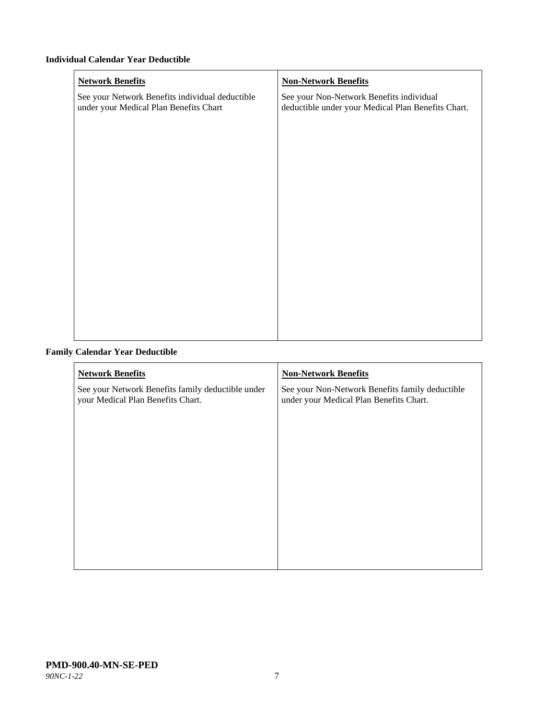#### **Individual Calendar Year Deductible**

| <b>Network Benefits</b>                                                                   | <b>Non-Network Benefits</b>                                                                    |
|-------------------------------------------------------------------------------------------|------------------------------------------------------------------------------------------------|
| See your Network Benefits individual deductible<br>under your Medical Plan Benefits Chart | See your Non-Network Benefits individual<br>deductible under your Medical Plan Benefits Chart. |
|                                                                                           |                                                                                                |
|                                                                                           |                                                                                                |
|                                                                                           |                                                                                                |
|                                                                                           |                                                                                                |
|                                                                                           |                                                                                                |
|                                                                                           |                                                                                                |
|                                                                                           |                                                                                                |
|                                                                                           |                                                                                                |
|                                                                                           |                                                                                                |
|                                                                                           |                                                                                                |
|                                                                                           |                                                                                                |
|                                                                                           |                                                                                                |

## **Family Calendar Year Deductible**

| <b>Network Benefits</b>                                                                | <b>Non-Network Benefits</b>                                                                |
|----------------------------------------------------------------------------------------|--------------------------------------------------------------------------------------------|
| See your Network Benefits family deductible under<br>your Medical Plan Benefits Chart. | See your Non-Network Benefits family deductible<br>under your Medical Plan Benefits Chart. |
|                                                                                        |                                                                                            |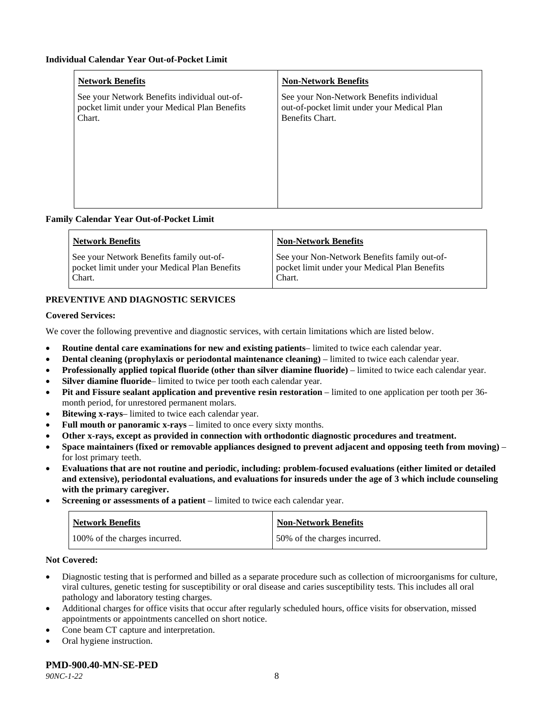| <b>Network Benefits</b>                                                                                 | <b>Non-Network Benefits</b>                                                                                |
|---------------------------------------------------------------------------------------------------------|------------------------------------------------------------------------------------------------------------|
| See your Network Benefits individual out-of-<br>pocket limit under your Medical Plan Benefits<br>Chart. | See your Non-Network Benefits individual<br>out-of-pocket limit under your Medical Plan<br>Benefits Chart. |
|                                                                                                         |                                                                                                            |

#### **Family Calendar Year Out-of-Pocket Limit**

| <b>Network Benefits</b>                       | <b>Non-Network Benefits</b>                   |
|-----------------------------------------------|-----------------------------------------------|
| See your Network Benefits family out-of-      | See your Non-Network Benefits family out-of-  |
| pocket limit under your Medical Plan Benefits | pocket limit under your Medical Plan Benefits |
| Chart.                                        | Chart.                                        |

## **PREVENTIVE AND DIAGNOSTIC SERVICES**

#### **Covered Services:**

We cover the following preventive and diagnostic services, with certain limitations which are listed below.

- **Routine dental care examinations for new and existing patients** limited to twice each calendar year.
- **Dental cleaning (prophylaxis or periodontal maintenance cleaning)** limited to twice each calendar year.
- **Professionally applied topical fluoride (other than silver diamine fluoride)** limited to twice each calendar year.
- **Silver diamine fluoride** limited to twice per tooth each calendar year.
- **Pit and Fissure sealant application and preventive resin restoration** limited to one application per tooth per 36 month period, for unrestored permanent molars.
- Bitewing x-rays-limited to twice each calendar year.
- Full mouth or panoramic x-rays limited to once every sixty months.
- **Other x-rays, except as provided in connection with orthodontic diagnostic procedures and treatment.**
- **Space maintainers (fixed or removable appliances designed to prevent adjacent and opposing teeth from moving)** for lost primary teeth.
- **Evaluations that are not routine and periodic, including: problem-focused evaluations (either limited or detailed and extensive), periodontal evaluations, and evaluations for insureds under the age of 3 which include counseling with the primary caregiver.**
- **Screening or assessments of a patient** limited to twice each calendar year.

| Network Benefits              | <b>Non-Network Benefits</b>  |
|-------------------------------|------------------------------|
| 100% of the charges incurred. | 50% of the charges incurred. |

#### **Not Covered:**

- Diagnostic testing that is performed and billed as a separate procedure such as collection of microorganisms for culture, viral cultures, genetic testing for susceptibility or oral disease and caries susceptibility tests. This includes all oral pathology and laboratory testing charges.
- Additional charges for office visits that occur after regularly scheduled hours, office visits for observation, missed appointments or appointments cancelled on short notice.
- Cone beam CT capture and interpretation.
- Oral hygiene instruction.

#### **PMD-900.40-MN-SE-PED**

*90NC-1-22* 8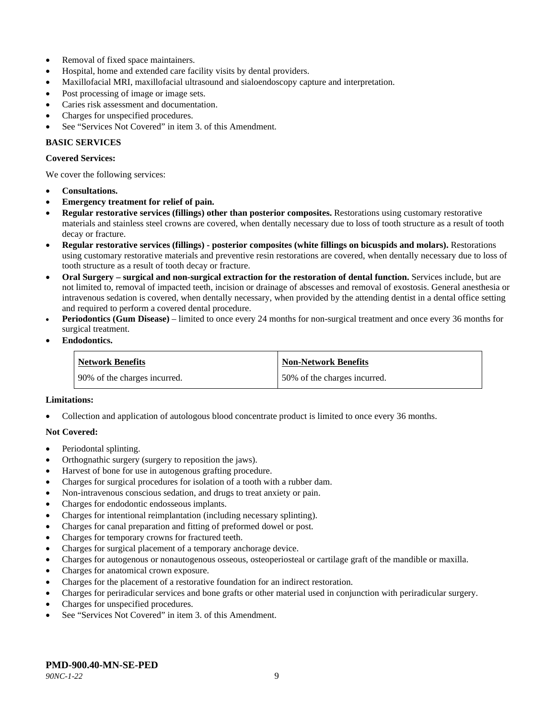- Removal of fixed space maintainers.
- Hospital, home and extended care facility visits by dental providers.
- Maxillofacial MRI, maxillofacial ultrasound and sialoendoscopy capture and interpretation.
- Post processing of image or image sets.
- Caries risk assessment and documentation.
- Charges for unspecified procedures.
- See "Services Not Covered" in item 3. of this Amendment.

## **BASIC SERVICES**

#### **Covered Services:**

We cover the following services:

- **Consultations.**
- **Emergency treatment for relief of pain.**
- **Regular restorative services (fillings) other than posterior composites.** Restorations using customary restorative materials and stainless steel crowns are covered, when dentally necessary due to loss of tooth structure as a result of tooth decay or fracture.
- **Regular restorative services (fillings) - posterior composites (white fillings on bicuspids and molars).** Restorations using customary restorative materials and preventive resin restorations are covered, when dentally necessary due to loss of tooth structure as a result of tooth decay or fracture.
- **Oral Surgery – surgical and non-surgical extraction for the restoration of dental function.** Services include, but are not limited to, removal of impacted teeth, incision or drainage of abscesses and removal of exostosis. General anesthesia or intravenous sedation is covered, when dentally necessary, when provided by the attending dentist in a dental office setting and required to perform a covered dental procedure.
- **Periodontics (Gum Disease)** limited to once every 24 months for non-surgical treatment and once every 36 months for surgical treatment.
- **Endodontics.**

| <b>Network Benefits</b>      | <b>Non-Network Benefits</b>  |
|------------------------------|------------------------------|
| 90% of the charges incurred. | 50% of the charges incurred. |

#### **Limitations:**

• Collection and application of autologous blood concentrate product is limited to once every 36 months.

#### **Not Covered:**

- Periodontal splinting.
- Orthognathic surgery (surgery to reposition the jaws).
- Harvest of bone for use in autogenous grafting procedure.
- Charges for surgical procedures for isolation of a tooth with a rubber dam.
- Non-intravenous conscious sedation, and drugs to treat anxiety or pain.
- Charges for endodontic endosseous implants.
- Charges for intentional reimplantation (including necessary splinting).
- Charges for canal preparation and fitting of preformed dowel or post.
- Charges for temporary crowns for fractured teeth.
- Charges for surgical placement of a temporary anchorage device.
- Charges for autogenous or nonautogenous osseous, osteoperiosteal or cartilage graft of the mandible or maxilla.
- Charges for anatomical crown exposure.
- Charges for the placement of a restorative foundation for an indirect restoration.
- Charges for periradicular services and bone grafts or other material used in conjunction with periradicular surgery.
- Charges for unspecified procedures.
- See "Services Not Covered" in item 3. of this Amendment.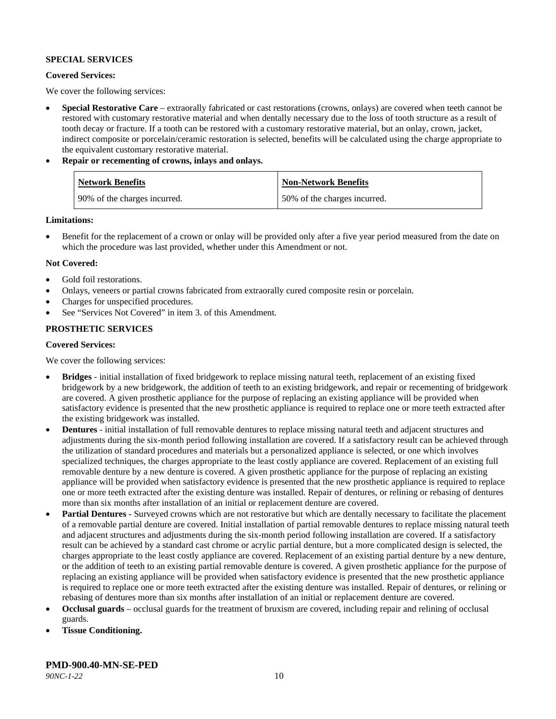#### **SPECIAL SERVICES**

#### **Covered Services:**

We cover the following services:

- **Special Restorative Care** extraorally fabricated or cast restorations (crowns, onlays) are covered when teeth cannot be restored with customary restorative material and when dentally necessary due to the loss of tooth structure as a result of tooth decay or fracture. If a tooth can be restored with a customary restorative material, but an onlay, crown, jacket, indirect composite or porcelain/ceramic restoration is selected, benefits will be calculated using the charge appropriate to the equivalent customary restorative material.
- **Repair or recementing of crowns, inlays and onlays.**

| <b>Network Benefits</b>      | <b>Non-Network Benefits</b>  |
|------------------------------|------------------------------|
| 90% of the charges incurred. | 50% of the charges incurred. |

**Limitations:**

• Benefit for the replacement of a crown or onlay will be provided only after a five year period measured from the date on which the procedure was last provided, whether under this Amendment or not.

#### **Not Covered:**

- Gold foil restorations.
- Onlays, veneers or partial crowns fabricated from extraorally cured composite resin or porcelain.
- Charges for unspecified procedures.
- See "Services Not Covered" in item 3. of this Amendment.

## **PROSTHETIC SERVICES**

#### **Covered Services:**

We cover the following services:

- **Bridges** initial installation of fixed bridgework to replace missing natural teeth, replacement of an existing fixed bridgework by a new bridgework, the addition of teeth to an existing bridgework, and repair or recementing of bridgework are covered. A given prosthetic appliance for the purpose of replacing an existing appliance will be provided when satisfactory evidence is presented that the new prosthetic appliance is required to replace one or more teeth extracted after the existing bridgework was installed.
- **Dentures** initial installation of full removable dentures to replace missing natural teeth and adjacent structures and adjustments during the six-month period following installation are covered. If a satisfactory result can be achieved through the utilization of standard procedures and materials but a personalized appliance is selected, or one which involves specialized techniques, the charges appropriate to the least costly appliance are covered. Replacement of an existing full removable denture by a new denture is covered. A given prosthetic appliance for the purpose of replacing an existing appliance will be provided when satisfactory evidence is presented that the new prosthetic appliance is required to replace one or more teeth extracted after the existing denture was installed. Repair of dentures, or relining or rebasing of dentures more than six months after installation of an initial or replacement denture are covered.
- **Partial Dentures** Surveyed crowns which are not restorative but which are dentally necessary to facilitate the placement of a removable partial denture are covered. Initial installation of partial removable dentures to replace missing natural teeth and adjacent structures and adjustments during the six-month period following installation are covered. If a satisfactory result can be achieved by a standard cast chrome or acrylic partial denture, but a more complicated design is selected, the charges appropriate to the least costly appliance are covered. Replacement of an existing partial denture by a new denture, or the addition of teeth to an existing partial removable denture is covered. A given prosthetic appliance for the purpose of replacing an existing appliance will be provided when satisfactory evidence is presented that the new prosthetic appliance is required to replace one or more teeth extracted after the existing denture was installed. Repair of dentures, or relining or rebasing of dentures more than six months after installation of an initial or replacement denture are covered.
- **Occlusal guards** occlusal guards for the treatment of bruxism are covered, including repair and relining of occlusal guards.
- **Tissue Conditioning.**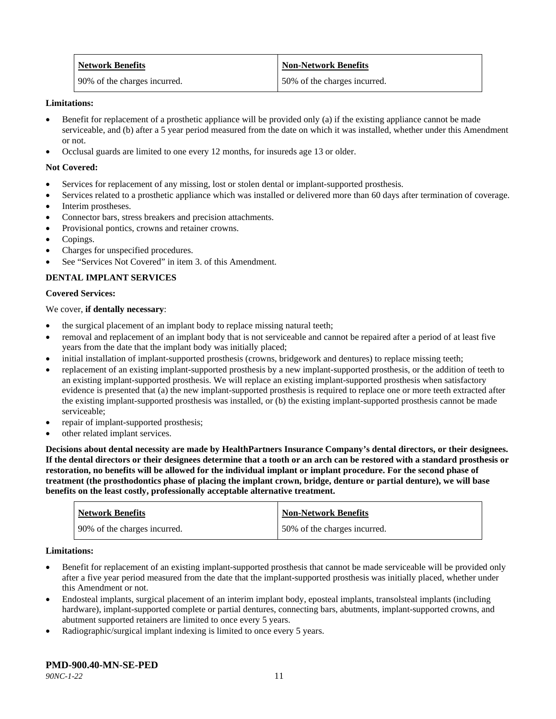| <b>Network Benefits</b>      | <b>Non-Network Benefits</b>  |
|------------------------------|------------------------------|
| 90% of the charges incurred. | 50% of the charges incurred. |

#### **Limitations:**

- Benefit for replacement of a prosthetic appliance will be provided only (a) if the existing appliance cannot be made serviceable, and (b) after a 5 year period measured from the date on which it was installed, whether under this Amendment or not.
- Occlusal guards are limited to one every 12 months, for insureds age 13 or older.

#### **Not Covered:**

- Services for replacement of any missing, lost or stolen dental or implant-supported prosthesis.
- Services related to a prosthetic appliance which was installed or delivered more than 60 days after termination of coverage.
- Interim prostheses.
- Connector bars, stress breakers and precision attachments.
- Provisional pontics, crowns and retainer crowns.
- Copings.
- Charges for unspecified procedures.
- See "Services Not Covered" in item 3. of this Amendment.

## **DENTAL IMPLANT SERVICES**

#### **Covered Services:**

#### We cover, **if dentally necessary**:

- the surgical placement of an implant body to replace missing natural teeth;
- removal and replacement of an implant body that is not serviceable and cannot be repaired after a period of at least five years from the date that the implant body was initially placed;
- initial installation of implant-supported prosthesis (crowns, bridgework and dentures) to replace missing teeth;
- replacement of an existing implant-supported prosthesis by a new implant-supported prosthesis, or the addition of teeth to an existing implant-supported prosthesis. We will replace an existing implant-supported prosthesis when satisfactory evidence is presented that (a) the new implant-supported prosthesis is required to replace one or more teeth extracted after the existing implant-supported prosthesis was installed, or (b) the existing implant-supported prosthesis cannot be made serviceable;
- repair of implant-supported prosthesis;
- other related implant services.

**Decisions about dental necessity are made by HealthPartners Insurance Company's dental directors, or their designees. If the dental directors or their designees determine that a tooth or an arch can be restored with a standard prosthesis or restoration, no benefits will be allowed for the individual implant or implant procedure. For the second phase of treatment (the prosthodontics phase of placing the implant crown, bridge, denture or partial denture), we will base benefits on the least costly, professionally acceptable alternative treatment.**

| <b>Network Benefits</b>      | <b>Non-Network Benefits</b>  |
|------------------------------|------------------------------|
| 90% of the charges incurred. | 50% of the charges incurred. |

#### **Limitations:**

- Benefit for replacement of an existing implant-supported prosthesis that cannot be made serviceable will be provided only after a five year period measured from the date that the implant-supported prosthesis was initially placed, whether under this Amendment or not.
- Endosteal implants, surgical placement of an interim implant body, eposteal implants, transolsteal implants (including hardware), implant-supported complete or partial dentures, connecting bars, abutments, implant-supported crowns, and abutment supported retainers are limited to once every 5 years.
- Radiographic/surgical implant indexing is limited to once every 5 years.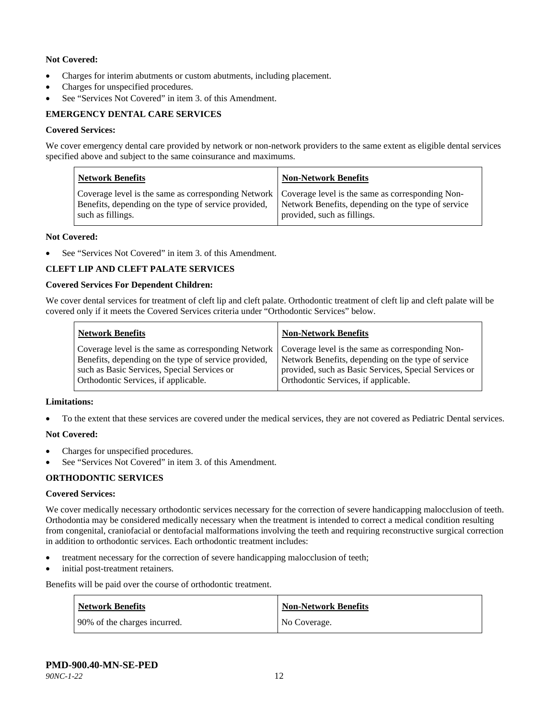### **Not Covered:**

- Charges for interim abutments or custom abutments, including placement.
- Charges for unspecified procedures.
- See "Services Not Covered" in item 3. of this Amendment.

## **EMERGENCY DENTAL CARE SERVICES**

#### **Covered Services:**

We cover emergency dental care provided by network or non-network providers to the same extent as eligible dental services specified above and subject to the same coinsurance and maximums.

| <b>Network Benefits</b>                                                                                                                                                             | <b>Non-Network Benefits</b>                                                       |
|-------------------------------------------------------------------------------------------------------------------------------------------------------------------------------------|-----------------------------------------------------------------------------------|
| Coverage level is the same as corresponding Network   Coverage level is the same as corresponding Non-<br>Benefits, depending on the type of service provided.<br>such as fillings. | Network Benefits, depending on the type of service<br>provided, such as fillings. |

#### **Not Covered:**

See "Services Not Covered" in item 3. of this Amendment.

#### **CLEFT LIP AND CLEFT PALATE SERVICES**

#### **Covered Services For Dependent Children:**

We cover dental services for treatment of cleft lip and cleft palate. Orthodontic treatment of cleft lip and cleft palate will be covered only if it meets the Covered Services criteria under "Orthodontic Services" below.

| <b>Network Benefits</b>                              | <b>Non-Network Benefits</b>                           |
|------------------------------------------------------|-------------------------------------------------------|
| Coverage level is the same as corresponding Network  | Coverage level is the same as corresponding Non-      |
| Benefits, depending on the type of service provided, | Network Benefits, depending on the type of service    |
| such as Basic Services, Special Services or          | provided, such as Basic Services, Special Services or |
| Orthodontic Services, if applicable.                 | Orthodontic Services, if applicable.                  |

#### **Limitations:**

• To the extent that these services are covered under the medical services, they are not covered as Pediatric Dental services.

#### **Not Covered:**

- Charges for unspecified procedures.
- See "Services Not Covered" in item 3. of this Amendment.

#### **ORTHODONTIC SERVICES**

#### **Covered Services:**

We cover medically necessary orthodontic services necessary for the correction of severe handicapping malocclusion of teeth. Orthodontia may be considered medically necessary when the treatment is intended to correct a medical condition resulting from congenital, craniofacial or dentofacial malformations involving the teeth and requiring reconstructive surgical correction in addition to orthodontic services. Each orthodontic treatment includes:

- treatment necessary for the correction of severe handicapping malocclusion of teeth;
- initial post-treatment retainers.

Benefits will be paid over the course of orthodontic treatment.

| <b>Network Benefits</b>      | <b>Non-Network Benefits</b> |
|------------------------------|-----------------------------|
| 90% of the charges incurred. | No Coverage.                |